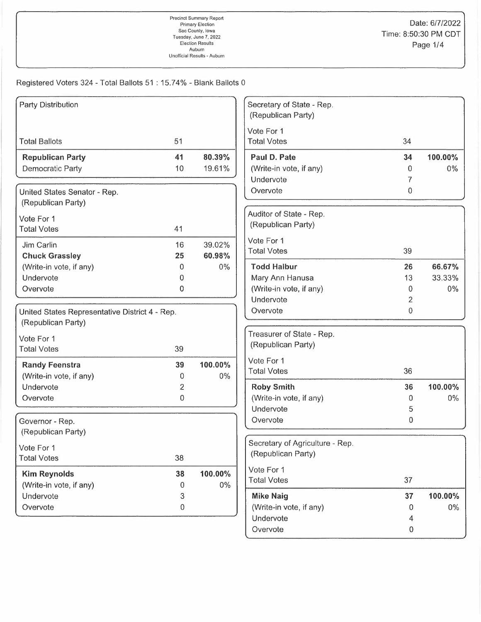Registered Voters 324 - Total Ballots 51 : 15.74% - Blank Ballots 0

| Party Distribution                             |                |         | Secretary of State - Rep.<br>(Republican Party) |    |         |
|------------------------------------------------|----------------|---------|-------------------------------------------------|----|---------|
|                                                |                |         | Vote For 1                                      |    |         |
| <b>Total Ballots</b>                           | 51             |         | <b>Total Votes</b>                              | 34 |         |
| <b>Republican Party</b>                        | 41             | 80.39%  | Paul D. Pate                                    | 34 | 100.00% |
| Democratic Party                               | 10             | 19.61%  | (Write-in vote, if any)                         | 0  | $0\%$   |
|                                                |                |         | Undervote                                       | 7  |         |
| United States Senator - Rep.                   |                |         | Overvote                                        | 0  |         |
| (Republican Party)                             |                |         |                                                 |    |         |
| Vote For 1                                     |                |         | Auditor of State - Rep.                         |    |         |
| <b>Total Votes</b>                             | 41             |         | (Republican Party)                              |    |         |
| Jim Carlin                                     | 16             | 39.02%  | Vote For 1                                      |    |         |
| <b>Chuck Grassley</b>                          | 25             | 60.98%  | <b>Total Votes</b>                              | 39 |         |
| (Write-in vote, if any)                        | 0              | $0\%$   | <b>Todd Halbur</b>                              | 26 | 66.67%  |
| Undervote                                      | 0              |         | Mary Ann Hanusa                                 | 13 | 33.33%  |
| Overvote                                       | 0              |         | (Write-in vote, if any)                         | 0  | $0\%$   |
|                                                |                |         | Undervote                                       | 2  |         |
| United States Representative District 4 - Rep. |                |         | Overvote                                        | 0  |         |
| (Republican Party)                             |                |         |                                                 |    |         |
| Vote For 1                                     |                |         | Treasurer of State - Rep.                       |    |         |
| <b>Total Votes</b>                             | 39             |         | (Republican Party)                              |    |         |
| <b>Randy Feenstra</b>                          | 39             | 100.00% | Vote For 1                                      |    |         |
| (Write-in vote, if any)                        | 0              | 0%      | <b>Total Votes</b>                              | 36 |         |
| Undervote                                      | $\overline{2}$ |         | <b>Roby Smith</b>                               | 36 | 100.00% |
| Overvote                                       | 0              |         | (Write-in vote, if any)                         | 0  | $0\%$   |
|                                                |                |         | Undervote                                       | 5  |         |
| Governor - Rep.                                |                |         | Overvote                                        | 0  |         |
| (Republican Party)                             |                |         |                                                 |    |         |
| Vote For 1                                     |                |         | Secretary of Agriculture - Rep.                 |    |         |
| <b>Total Votes</b>                             | 38             |         | (Republican Party)                              |    |         |
| <b>Kim Reynolds</b>                            | 38             | 100.00% | Vote For 1                                      |    |         |
| (Write-in vote, if any)                        | 0              | 0%      | <b>Total Votes</b>                              | 37 |         |
| Undervote                                      | 3              |         | <b>Mike Naig</b>                                | 37 | 100.00% |
| Overvote                                       | $\,0\,$        |         | (Write-in vote, if any)                         | 0  | $0\%$   |
|                                                |                |         | Undervote                                       | 4  |         |
|                                                |                |         | Overvote                                        | 0  |         |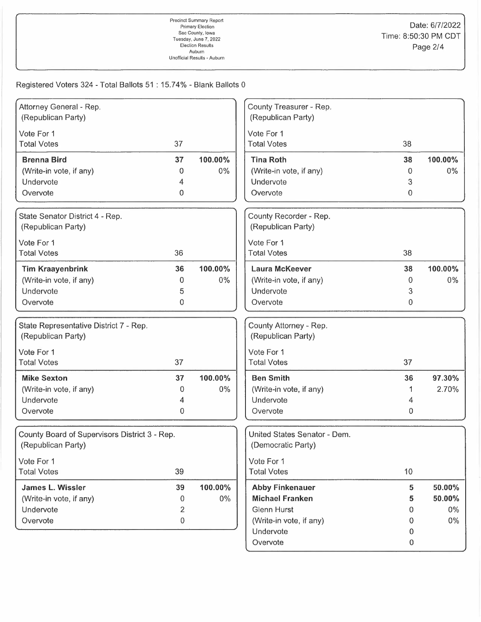## Registered Voters 324 - Total Ballots 51: 15.74% - Blank Ballots 0

| Attorney General - Rep.<br>County Treasurer - Rep.<br>(Republican Party)<br>(Republican Party)<br>Vote For 1<br>Vote For 1<br>37<br><b>Total Votes</b><br>38<br><b>Total Votes</b><br><b>Tina Roth</b><br><b>Brenna Bird</b><br>37<br>100.00%<br>38<br>100.00%<br>$0\%$<br>(Write-in vote, if any)<br>$0\%$<br>(Write-in vote, if any)<br>0<br>$\Omega$<br>Undervote<br>Undervote<br>3<br>4<br>0<br>$\mathbf 0$<br>Overvote<br>Overvote<br>County Recorder - Rep.<br>State Senator District 4 - Rep.<br>(Republican Party)<br>(Republican Party)<br>Vote For 1<br>Vote For 1<br>36<br><b>Total Votes</b><br>38<br><b>Total Votes</b><br><b>Tim Kraayenbrink</b><br>100.00%<br><b>Laura McKeever</b><br>100.00%<br>36<br>38<br>(Write-in vote, if any)<br>0%<br>$0\%$<br>(Write-in vote, if any)<br>0<br>0<br>Undervote<br>Undervote<br>3<br>5<br>Overvote<br>0<br>Overvote<br>$\mathbf{0}$<br>State Representative District 7 - Rep.<br>County Attorney - Rep.<br>(Republican Party)<br>(Republican Party)<br>Vote For 1<br>Vote For 1<br><b>Total Votes</b><br>37<br><b>Total Votes</b><br>37<br>100.00%<br>97.30%<br>37<br><b>Ben Smith</b><br>36<br><b>Mike Sexton</b><br>2.70%<br>(Write-in vote, if any)<br>0%<br>(Write-in vote, if any)<br>0<br>Undervote<br>Undervote<br>4<br>4<br>Overvote<br>0<br>Overvote<br>0<br>United States Senator - Dem.<br>County Board of Supervisors District 3 - Rep.<br>(Republican Party)<br>(Democratic Party)<br>Vote For 1<br>Vote For 1<br>39<br><b>Total Votes</b><br><b>Total Votes</b><br>10<br>39<br>100.00%<br><b>Abby Finkenauer</b><br>James L. Wissler<br>5<br>50.00%<br><b>Michael Franken</b><br>50.00%<br>(Write-in vote, if any)<br>$0\%$<br>5<br>0<br><b>Glenn Hurst</b><br>Undervote<br>$0\%$<br>2<br>0<br>0<br>(Write-in vote, if any)<br>$0\%$<br>Overvote<br>0<br>Undervote<br>0 |  |          |                  |  |
|----------------------------------------------------------------------------------------------------------------------------------------------------------------------------------------------------------------------------------------------------------------------------------------------------------------------------------------------------------------------------------------------------------------------------------------------------------------------------------------------------------------------------------------------------------------------------------------------------------------------------------------------------------------------------------------------------------------------------------------------------------------------------------------------------------------------------------------------------------------------------------------------------------------------------------------------------------------------------------------------------------------------------------------------------------------------------------------------------------------------------------------------------------------------------------------------------------------------------------------------------------------------------------------------------------------------------------------------------------------------------------------------------------------------------------------------------------------------------------------------------------------------------------------------------------------------------------------------------------------------------------------------------------------------------------------------------------------------------------------------------------------------------------------------------------------------------------------------|--|----------|------------------|--|
|                                                                                                                                                                                                                                                                                                                                                                                                                                                                                                                                                                                                                                                                                                                                                                                                                                                                                                                                                                                                                                                                                                                                                                                                                                                                                                                                                                                                                                                                                                                                                                                                                                                                                                                                                                                                                                              |  |          |                  |  |
|                                                                                                                                                                                                                                                                                                                                                                                                                                                                                                                                                                                                                                                                                                                                                                                                                                                                                                                                                                                                                                                                                                                                                                                                                                                                                                                                                                                                                                                                                                                                                                                                                                                                                                                                                                                                                                              |  |          |                  |  |
|                                                                                                                                                                                                                                                                                                                                                                                                                                                                                                                                                                                                                                                                                                                                                                                                                                                                                                                                                                                                                                                                                                                                                                                                                                                                                                                                                                                                                                                                                                                                                                                                                                                                                                                                                                                                                                              |  |          |                  |  |
|                                                                                                                                                                                                                                                                                                                                                                                                                                                                                                                                                                                                                                                                                                                                                                                                                                                                                                                                                                                                                                                                                                                                                                                                                                                                                                                                                                                                                                                                                                                                                                                                                                                                                                                                                                                                                                              |  |          |                  |  |
|                                                                                                                                                                                                                                                                                                                                                                                                                                                                                                                                                                                                                                                                                                                                                                                                                                                                                                                                                                                                                                                                                                                                                                                                                                                                                                                                                                                                                                                                                                                                                                                                                                                                                                                                                                                                                                              |  |          |                  |  |
|                                                                                                                                                                                                                                                                                                                                                                                                                                                                                                                                                                                                                                                                                                                                                                                                                                                                                                                                                                                                                                                                                                                                                                                                                                                                                                                                                                                                                                                                                                                                                                                                                                                                                                                                                                                                                                              |  |          |                  |  |
|                                                                                                                                                                                                                                                                                                                                                                                                                                                                                                                                                                                                                                                                                                                                                                                                                                                                                                                                                                                                                                                                                                                                                                                                                                                                                                                                                                                                                                                                                                                                                                                                                                                                                                                                                                                                                                              |  |          |                  |  |
|                                                                                                                                                                                                                                                                                                                                                                                                                                                                                                                                                                                                                                                                                                                                                                                                                                                                                                                                                                                                                                                                                                                                                                                                                                                                                                                                                                                                                                                                                                                                                                                                                                                                                                                                                                                                                                              |  |          |                  |  |
|                                                                                                                                                                                                                                                                                                                                                                                                                                                                                                                                                                                                                                                                                                                                                                                                                                                                                                                                                                                                                                                                                                                                                                                                                                                                                                                                                                                                                                                                                                                                                                                                                                                                                                                                                                                                                                              |  |          |                  |  |
|                                                                                                                                                                                                                                                                                                                                                                                                                                                                                                                                                                                                                                                                                                                                                                                                                                                                                                                                                                                                                                                                                                                                                                                                                                                                                                                                                                                                                                                                                                                                                                                                                                                                                                                                                                                                                                              |  |          |                  |  |
|                                                                                                                                                                                                                                                                                                                                                                                                                                                                                                                                                                                                                                                                                                                                                                                                                                                                                                                                                                                                                                                                                                                                                                                                                                                                                                                                                                                                                                                                                                                                                                                                                                                                                                                                                                                                                                              |  |          |                  |  |
|                                                                                                                                                                                                                                                                                                                                                                                                                                                                                                                                                                                                                                                                                                                                                                                                                                                                                                                                                                                                                                                                                                                                                                                                                                                                                                                                                                                                                                                                                                                                                                                                                                                                                                                                                                                                                                              |  |          |                  |  |
|                                                                                                                                                                                                                                                                                                                                                                                                                                                                                                                                                                                                                                                                                                                                                                                                                                                                                                                                                                                                                                                                                                                                                                                                                                                                                                                                                                                                                                                                                                                                                                                                                                                                                                                                                                                                                                              |  |          |                  |  |
|                                                                                                                                                                                                                                                                                                                                                                                                                                                                                                                                                                                                                                                                                                                                                                                                                                                                                                                                                                                                                                                                                                                                                                                                                                                                                                                                                                                                                                                                                                                                                                                                                                                                                                                                                                                                                                              |  |          |                  |  |
|                                                                                                                                                                                                                                                                                                                                                                                                                                                                                                                                                                                                                                                                                                                                                                                                                                                                                                                                                                                                                                                                                                                                                                                                                                                                                                                                                                                                                                                                                                                                                                                                                                                                                                                                                                                                                                              |  |          |                  |  |
|                                                                                                                                                                                                                                                                                                                                                                                                                                                                                                                                                                                                                                                                                                                                                                                                                                                                                                                                                                                                                                                                                                                                                                                                                                                                                                                                                                                                                                                                                                                                                                                                                                                                                                                                                                                                                                              |  |          |                  |  |
|                                                                                                                                                                                                                                                                                                                                                                                                                                                                                                                                                                                                                                                                                                                                                                                                                                                                                                                                                                                                                                                                                                                                                                                                                                                                                                                                                                                                                                                                                                                                                                                                                                                                                                                                                                                                                                              |  |          |                  |  |
|                                                                                                                                                                                                                                                                                                                                                                                                                                                                                                                                                                                                                                                                                                                                                                                                                                                                                                                                                                                                                                                                                                                                                                                                                                                                                                                                                                                                                                                                                                                                                                                                                                                                                                                                                                                                                                              |  |          |                  |  |
|                                                                                                                                                                                                                                                                                                                                                                                                                                                                                                                                                                                                                                                                                                                                                                                                                                                                                                                                                                                                                                                                                                                                                                                                                                                                                                                                                                                                                                                                                                                                                                                                                                                                                                                                                                                                                                              |  |          |                  |  |
|                                                                                                                                                                                                                                                                                                                                                                                                                                                                                                                                                                                                                                                                                                                                                                                                                                                                                                                                                                                                                                                                                                                                                                                                                                                                                                                                                                                                                                                                                                                                                                                                                                                                                                                                                                                                                                              |  |          |                  |  |
|                                                                                                                                                                                                                                                                                                                                                                                                                                                                                                                                                                                                                                                                                                                                                                                                                                                                                                                                                                                                                                                                                                                                                                                                                                                                                                                                                                                                                                                                                                                                                                                                                                                                                                                                                                                                                                              |  |          |                  |  |
|                                                                                                                                                                                                                                                                                                                                                                                                                                                                                                                                                                                                                                                                                                                                                                                                                                                                                                                                                                                                                                                                                                                                                                                                                                                                                                                                                                                                                                                                                                                                                                                                                                                                                                                                                                                                                                              |  |          |                  |  |
|                                                                                                                                                                                                                                                                                                                                                                                                                                                                                                                                                                                                                                                                                                                                                                                                                                                                                                                                                                                                                                                                                                                                                                                                                                                                                                                                                                                                                                                                                                                                                                                                                                                                                                                                                                                                                                              |  |          |                  |  |
|                                                                                                                                                                                                                                                                                                                                                                                                                                                                                                                                                                                                                                                                                                                                                                                                                                                                                                                                                                                                                                                                                                                                                                                                                                                                                                                                                                                                                                                                                                                                                                                                                                                                                                                                                                                                                                              |  |          |                  |  |
|                                                                                                                                                                                                                                                                                                                                                                                                                                                                                                                                                                                                                                                                                                                                                                                                                                                                                                                                                                                                                                                                                                                                                                                                                                                                                                                                                                                                                                                                                                                                                                                                                                                                                                                                                                                                                                              |  |          |                  |  |
|                                                                                                                                                                                                                                                                                                                                                                                                                                                                                                                                                                                                                                                                                                                                                                                                                                                                                                                                                                                                                                                                                                                                                                                                                                                                                                                                                                                                                                                                                                                                                                                                                                                                                                                                                                                                                                              |  |          |                  |  |
|                                                                                                                                                                                                                                                                                                                                                                                                                                                                                                                                                                                                                                                                                                                                                                                                                                                                                                                                                                                                                                                                                                                                                                                                                                                                                                                                                                                                                                                                                                                                                                                                                                                                                                                                                                                                                                              |  |          |                  |  |
|                                                                                                                                                                                                                                                                                                                                                                                                                                                                                                                                                                                                                                                                                                                                                                                                                                                                                                                                                                                                                                                                                                                                                                                                                                                                                                                                                                                                                                                                                                                                                                                                                                                                                                                                                                                                                                              |  |          |                  |  |
|                                                                                                                                                                                                                                                                                                                                                                                                                                                                                                                                                                                                                                                                                                                                                                                                                                                                                                                                                                                                                                                                                                                                                                                                                                                                                                                                                                                                                                                                                                                                                                                                                                                                                                                                                                                                                                              |  |          |                  |  |
|                                                                                                                                                                                                                                                                                                                                                                                                                                                                                                                                                                                                                                                                                                                                                                                                                                                                                                                                                                                                                                                                                                                                                                                                                                                                                                                                                                                                                                                                                                                                                                                                                                                                                                                                                                                                                                              |  |          |                  |  |
|                                                                                                                                                                                                                                                                                                                                                                                                                                                                                                                                                                                                                                                                                                                                                                                                                                                                                                                                                                                                                                                                                                                                                                                                                                                                                                                                                                                                                                                                                                                                                                                                                                                                                                                                                                                                                                              |  |          |                  |  |
|                                                                                                                                                                                                                                                                                                                                                                                                                                                                                                                                                                                                                                                                                                                                                                                                                                                                                                                                                                                                                                                                                                                                                                                                                                                                                                                                                                                                                                                                                                                                                                                                                                                                                                                                                                                                                                              |  |          |                  |  |
|                                                                                                                                                                                                                                                                                                                                                                                                                                                                                                                                                                                                                                                                                                                                                                                                                                                                                                                                                                                                                                                                                                                                                                                                                                                                                                                                                                                                                                                                                                                                                                                                                                                                                                                                                                                                                                              |  |          |                  |  |
|                                                                                                                                                                                                                                                                                                                                                                                                                                                                                                                                                                                                                                                                                                                                                                                                                                                                                                                                                                                                                                                                                                                                                                                                                                                                                                                                                                                                                                                                                                                                                                                                                                                                                                                                                                                                                                              |  |          |                  |  |
|                                                                                                                                                                                                                                                                                                                                                                                                                                                                                                                                                                                                                                                                                                                                                                                                                                                                                                                                                                                                                                                                                                                                                                                                                                                                                                                                                                                                                                                                                                                                                                                                                                                                                                                                                                                                                                              |  |          |                  |  |
|                                                                                                                                                                                                                                                                                                                                                                                                                                                                                                                                                                                                                                                                                                                                                                                                                                                                                                                                                                                                                                                                                                                                                                                                                                                                                                                                                                                                                                                                                                                                                                                                                                                                                                                                                                                                                                              |  | Overvote | $\boldsymbol{0}$ |  |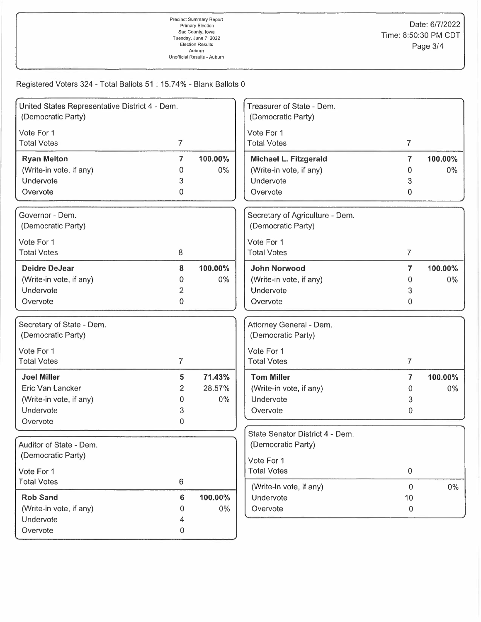## Registered Voters 324 - Total Ballots 51 : 15.74% - Blank Ballots 0

| United States Representative District 4 - Dem.<br>(Democratic Party) |                |         | Treasurer of State - Dem.<br>(Democratic Party)       |                         |         |
|----------------------------------------------------------------------|----------------|---------|-------------------------------------------------------|-------------------------|---------|
| Vote For 1<br><b>Total Votes</b>                                     | $\overline{7}$ |         | Vote For 1<br><b>Total Votes</b>                      | $\overline{7}$          |         |
| <b>Ryan Melton</b>                                                   | 7              | 100.00% | Michael L. Fitzgerald                                 | $\overline{\mathbf{r}}$ | 100.00% |
| (Write-in vote, if any)                                              | 0              | 0%      | (Write-in vote, if any)                               | 0                       | 0%      |
| Undervote                                                            | 3              |         | Undervote                                             | 3                       |         |
| Overvote                                                             | 0              |         | Overvote                                              | 0                       |         |
| Governor - Dem.<br>(Democratic Party)                                |                |         | Secretary of Agriculture - Dem.<br>(Democratic Party) |                         |         |
| Vote For 1                                                           |                |         | Vote For 1                                            |                         |         |
| <b>Total Votes</b>                                                   | $\,8\,$        |         | <b>Total Votes</b>                                    | $\overline{7}$          |         |
| <b>Deidre DeJear</b>                                                 | 8              | 100.00% | <b>John Norwood</b>                                   | $\mathbf{7}$            | 100.00% |
| (Write-in vote, if any)                                              | 0              | 0%      | (Write-in vote, if any)                               | 0                       | $0\%$   |
| Undervote                                                            | 2              |         | Undervote                                             | 3                       |         |
| Overvote                                                             | $\mathbf 0$    |         | Overvote                                              | $\bf{0}$                |         |
| Secretary of State - Dem.<br>(Democratic Party)                      |                |         | Attorney General - Dem.<br>(Democratic Party)         |                         |         |
| Vote For 1                                                           |                |         | Vote For 1                                            |                         |         |
| <b>Total Votes</b>                                                   | $\overline{7}$ |         | <b>Total Votes</b>                                    | $\overline{7}$          |         |
| <b>Joel Miller</b>                                                   | 5              | 71.43%  | <b>Tom Miller</b>                                     | $\overline{7}$          | 100.00% |
| Eric Van Lancker                                                     | 2.             | 28.57%  | (Write-in vote, if any)                               | 0                       | $0\%$   |
| (Write-in vote, if any)                                              | 0              | 0%      | Undervote                                             | 3                       |         |
| Undervote                                                            | 3              |         | Overvote                                              | 0                       |         |
| Overvote                                                             | 0              |         |                                                       |                         |         |
| Auditor of State - Dem.                                              |                |         | State Senator District 4 - Dem.<br>(Democratic Party) |                         |         |
| (Democratic Party)                                                   |                |         | Vote For 1                                            |                         |         |
| Vote For 1                                                           |                |         | <b>Total Votes</b>                                    | $\,0\,$                 |         |
| <b>Total Votes</b>                                                   | 6              |         | (Write-in vote, if any)                               | $\Omega$                | $0\%$   |
| <b>Rob Sand</b>                                                      | 6              | 100.00% | Undervote                                             | 10                      |         |
| (Write-in vote, if any)                                              | 0              | 0%      | Overvote                                              | $\overline{0}$          |         |
| Undervote                                                            | 4              |         |                                                       |                         |         |
| Overvote                                                             | $\mathbf 0$    |         |                                                       |                         |         |